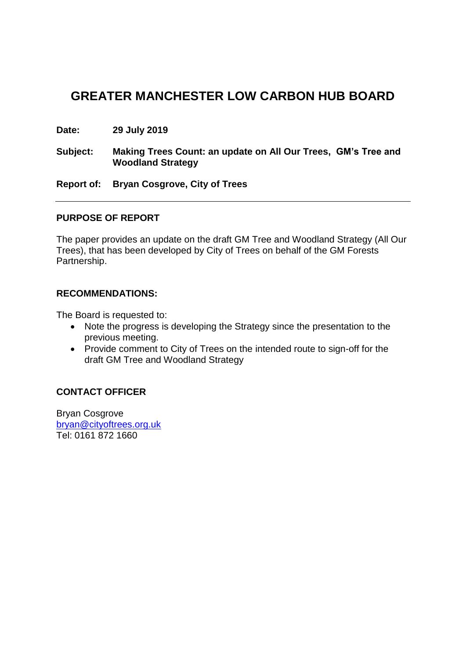# **GREATER MANCHESTER LOW CARBON HUB BOARD**

**Date: 29 July 2019**

**Subject: Making Trees Count: an update on All Our Trees, GM's Tree and Woodland Strategy**

**Report of: Bryan Cosgrove, City of Trees**

#### **PURPOSE OF REPORT**

The paper provides an update on the draft GM Tree and Woodland Strategy (All Our Trees), that has been developed by City of Trees on behalf of the GM Forests Partnership.

#### **RECOMMENDATIONS:**

The Board is requested to:

- Note the progress is developing the Strategy since the presentation to the previous meeting.
- Provide comment to City of Trees on the intended route to sign-off for the draft GM Tree and Woodland Strategy

# **CONTACT OFFICER**

Bryan Cosgrove [bryan@cityoftrees.org.uk](mailto:bryan@cityoftrees.org.uk) Tel: 0161 872 1660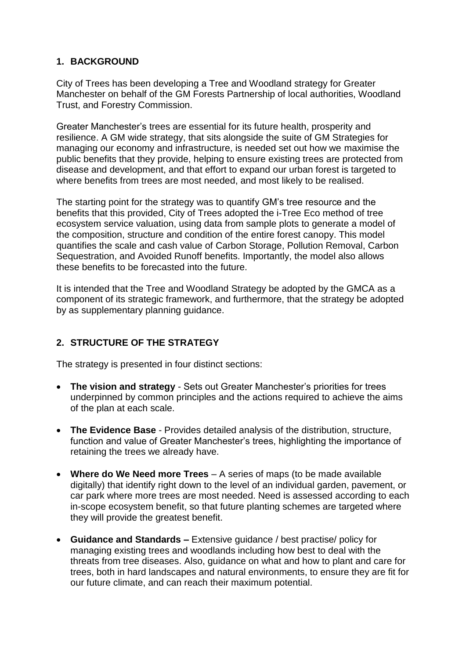# **1. BACKGROUND**

City of Trees has been developing a Tree and Woodland strategy for Greater Manchester on behalf of the GM Forests Partnership of local authorities, Woodland Trust, and Forestry Commission.

Greater Manchester's trees are essential for its future health, prosperity and resilience. A GM wide strategy, that sits alongside the suite of GM Strategies for managing our economy and infrastructure, is needed set out how we maximise the public benefits that they provide, helping to ensure existing trees are protected from disease and development, and that effort to expand our urban forest is targeted to where benefits from trees are most needed, and most likely to be realised.

The starting point for the strategy was to quantify GM's tree resource and the benefits that this provided, City of Trees adopted the i-Tree Eco method of tree ecosystem service valuation, using data from sample plots to generate a model of the composition, structure and condition of the entire forest canopy. This model quantifies the scale and cash value of Carbon Storage, Pollution Removal, Carbon Sequestration, and Avoided Runoff benefits. Importantly, the model also allows these benefits to be forecasted into the future.

It is intended that the Tree and Woodland Strategy be adopted by the GMCA as a component of its strategic framework, and furthermore, that the strategy be adopted by as supplementary planning guidance.

# **2. STRUCTURE OF THE STRATEGY**

The strategy is presented in four distinct sections:

- **The vision and strategy** Sets out Greater Manchester's priorities for trees underpinned by common principles and the actions required to achieve the aims of the plan at each scale.
- **The Evidence Base** Provides detailed analysis of the distribution, structure, function and value of Greater Manchester's trees, highlighting the importance of retaining the trees we already have.
- **Where do We Need more Trees** A series of maps (to be made available digitally) that identify right down to the level of an individual garden, pavement, or car park where more trees are most needed. Need is assessed according to each in-scope ecosystem benefit, so that future planting schemes are targeted where they will provide the greatest benefit.
- **Guidance and Standards –** Extensive guidance / best practise/ policy for managing existing trees and woodlands including how best to deal with the threats from tree diseases. Also, guidance on what and how to plant and care for trees, both in hard landscapes and natural environments, to ensure they are fit for our future climate, and can reach their maximum potential.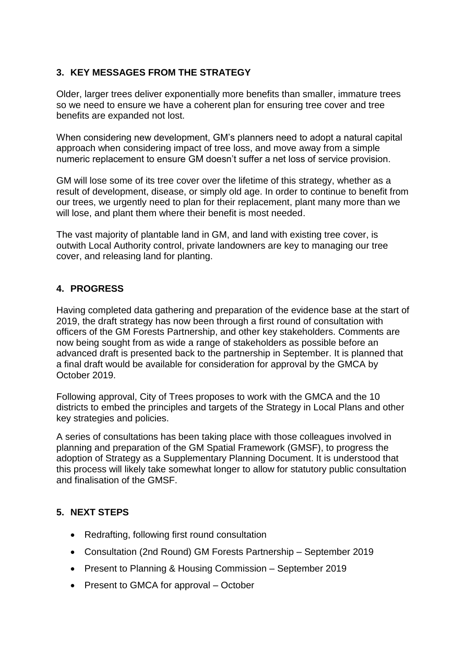# **3. KEY MESSAGES FROM THE STRATEGY**

Older, larger trees deliver exponentially more benefits than smaller, immature trees so we need to ensure we have a coherent plan for ensuring tree cover and tree benefits are expanded not lost.

When considering new development, GM's planners need to adopt a natural capital approach when considering impact of tree loss, and move away from a simple numeric replacement to ensure GM doesn't suffer a net loss of service provision.

GM will lose some of its tree cover over the lifetime of this strategy, whether as a result of development, disease, or simply old age. In order to continue to benefit from our trees, we urgently need to plan for their replacement, plant many more than we will lose, and plant them where their benefit is most needed.

The vast majority of plantable land in GM, and land with existing tree cover, is outwith Local Authority control, private landowners are key to managing our tree cover, and releasing land for planting.

# **4. PROGRESS**

Having completed data gathering and preparation of the evidence base at the start of 2019, the draft strategy has now been through a first round of consultation with officers of the GM Forests Partnership, and other key stakeholders. Comments are now being sought from as wide a range of stakeholders as possible before an advanced draft is presented back to the partnership in September. It is planned that a final draft would be available for consideration for approval by the GMCA by October 2019.

Following approval, City of Trees proposes to work with the GMCA and the 10 districts to embed the principles and targets of the Strategy in Local Plans and other key strategies and policies.

A series of consultations has been taking place with those colleagues involved in planning and preparation of the GM Spatial Framework (GMSF), to progress the adoption of Strategy as a Supplementary Planning Document. It is understood that this process will likely take somewhat longer to allow for statutory public consultation and finalisation of the GMSF.

# **5. NEXT STEPS**

- Redrafting, following first round consultation
- Consultation (2nd Round) [GM](http://5.gm/) Forests Partnership September 2019
- Present to Planning & Housing Commission September 2019
- Present to GMCA for approval October